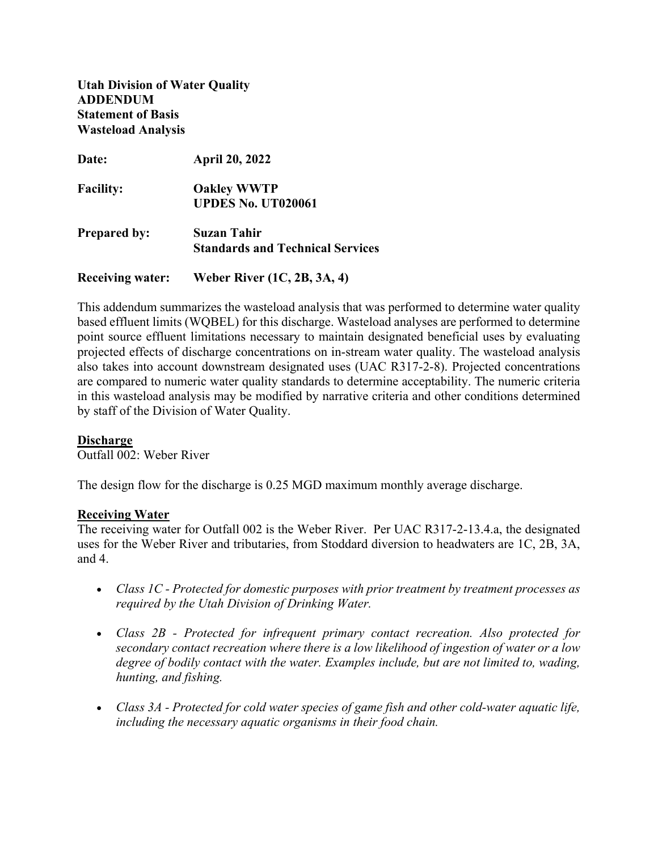**Utah Division of Water Quality ADDENDUM Statement of Basis Wasteload Analysis**

| Date:                   | <b>April 20, 2022</b>                   |
|-------------------------|-----------------------------------------|
| <b>Facility:</b>        | <b>Oakley WWTP</b>                      |
|                         | <b>UPDES No. UT020061</b>               |
| <b>Prepared by:</b>     | Suzan Tahir                             |
|                         | <b>Standards and Technical Services</b> |
| <b>Receiving water:</b> | Weber River (1C, 2B, 3A, 4)             |

This addendum summarizes the wasteload analysis that was performed to determine water quality based effluent limits (WQBEL) for this discharge. Wasteload analyses are performed to determine point source effluent limitations necessary to maintain designated beneficial uses by evaluating projected effects of discharge concentrations on in-stream water quality. The wasteload analysis also takes into account downstream designated uses (UAC R317-2-8). Projected concentrations are compared to numeric water quality standards to determine acceptability. The numeric criteria in this wasteload analysis may be modified by narrative criteria and other conditions determined by staff of the Division of Water Quality.

### **Discharge**

Outfall 002: Weber River

The design flow for the discharge is 0.25 MGD maximum monthly average discharge.

#### **Receiving Water**

The receiving water for Outfall 002 is the Weber River. Per UAC R317-2-13.4.a, the designated uses for the Weber River and tributaries, from Stoddard diversion to headwaters are 1C, 2B, 3A, and 4.

- *Class 1C - Protected for domestic purposes with prior treatment by treatment processes as required by the Utah Division of Drinking Water.*
- *Class 2B - Protected for infrequent primary contact recreation. Also protected for secondary contact recreation where there is a low likelihood of ingestion of water or a low degree of bodily contact with the water. Examples include, but are not limited to, wading, hunting, and fishing.*
- *Class 3A - Protected for cold water species of game fish and other cold-water aquatic life, including the necessary aquatic organisms in their food chain.*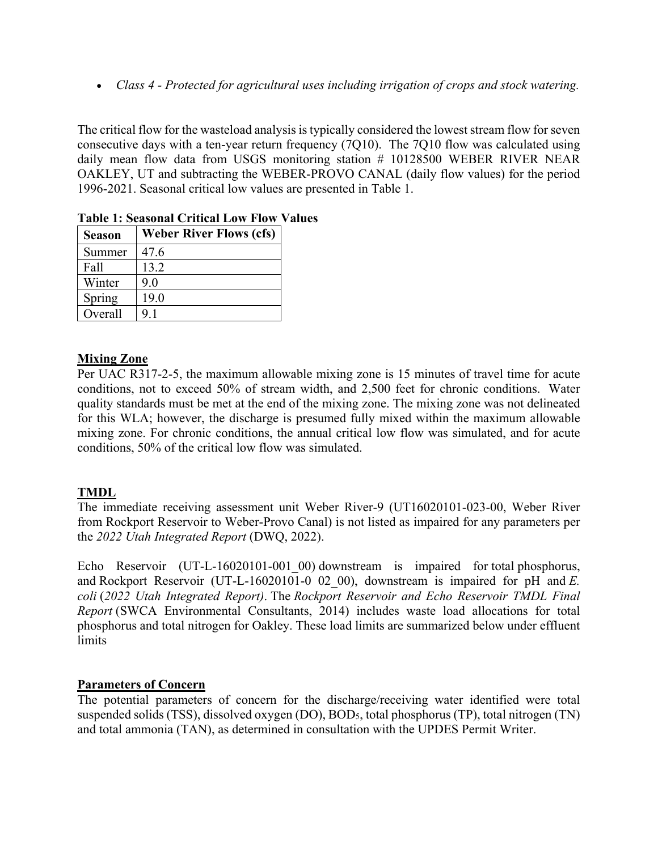• *Class 4 - Protected for agricultural uses including irrigation of crops and stock watering.*

The critical flow for the wasteload analysis is typically considered the lowest stream flow for seven consecutive days with a ten-year return frequency (7Q10). The 7Q10 flow was calculated using daily mean flow data from USGS monitoring station # 10128500 WEBER RIVER NEAR OAKLEY, UT and subtracting the WEBER-PROVO CANAL (daily flow values) for the period 1996-2021. Seasonal critical low values are presented in Table 1.

| <b>Season</b> | <b>Weber River Flows (cfs)</b> |
|---------------|--------------------------------|
| Summer        | 47.6                           |
| Fall          | 13.2                           |
| Winter        | 9.0                            |
| Spring        | 19.0                           |
| Overall       | 9.1                            |

## **Table 1: Seasonal Critical Low Flow Values**

# **Mixing Zone**

Per UAC R317-2-5, the maximum allowable mixing zone is 15 minutes of travel time for acute conditions, not to exceed 50% of stream width, and 2,500 feet for chronic conditions. Water quality standards must be met at the end of the mixing zone. The mixing zone was not delineated for this WLA; however, the discharge is presumed fully mixed within the maximum allowable mixing zone. For chronic conditions, the annual critical low flow was simulated, and for acute conditions, 50% of the critical low flow was simulated.

# **TMDL**

The immediate receiving assessment unit Weber River-9 (UT16020101-023-00, Weber River from Rockport Reservoir to Weber-Provo Canal) is not listed as impaired for any parameters per the *2022 Utah Integrated Report* (DWQ, 2022).

Echo Reservoir (UT-L-16020101-001 00) downstream is impaired for total phosphorus, and Rockport Reservoir (UT-L-16020101-0 02 00), downstream is impaired for pH and  $E$ . *coli* (*2022 Utah Integrated Report)*. The *Rockport Reservoir and Echo Reservoir TMDL Final Report* (SWCA Environmental Consultants, 2014) includes waste load allocations for total phosphorus and total nitrogen for Oakley. These load limits are summarized below under effluent limits

### **Parameters of Concern**

The potential parameters of concern for the discharge/receiving water identified were total suspended solids (TSS), dissolved oxygen (DO), BOD5, total phosphorus (TP), total nitrogen (TN) and total ammonia (TAN), as determined in consultation with the UPDES Permit Writer.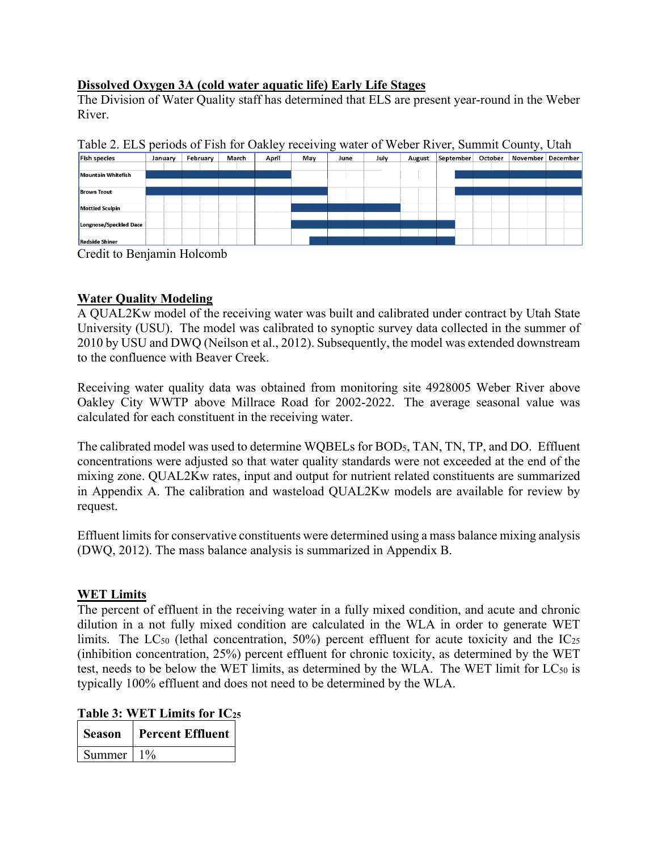# **Dissolved Oxygen 3A (cold water aquatic life) Early Life Stages**

The Division of Water Quality staff has determined that ELS are present year-round in the Weber River.

| <b>Fish species</b>    | January | February | March | April | May | June | July | August | September | October | November | December |
|------------------------|---------|----------|-------|-------|-----|------|------|--------|-----------|---------|----------|----------|
|                        |         |          |       |       |     |      |      |        |           |         |          |          |
| Mountain Whitefish     |         |          |       |       |     |      |      |        |           |         |          |          |
|                        |         |          |       |       |     |      |      |        |           |         |          |          |
| <b>Brown Trout</b>     |         |          |       |       |     |      |      |        |           |         |          |          |
|                        |         |          |       |       |     |      |      |        |           |         |          |          |
| Mottled Sculpin        |         |          |       |       |     |      |      |        |           |         |          |          |
|                        |         |          |       |       |     |      |      |        |           |         |          |          |
| Longnose/Speckled Dace |         |          |       |       |     |      |      |        |           |         |          |          |
|                        |         |          |       |       |     |      |      |        |           |         |          |          |
| <b>Redside Shiner</b>  |         |          |       |       |     |      |      |        |           |         |          |          |

Table 2. ELS periods of Fish for Oakley receiving water of Weber River, Summit County, Utah

Credit to Benjamin Holcomb

# **Water Quality Modeling**

A QUAL2Kw model of the receiving water was built and calibrated under contract by Utah State University (USU). The model was calibrated to synoptic survey data collected in the summer of 2010 by USU and DWQ (Neilson et al., 2012). Subsequently, the model was extended downstream to the confluence with Beaver Creek.

Receiving water quality data was obtained from monitoring site 4928005 Weber River above Oakley City WWTP above Millrace Road for 2002-2022. The average seasonal value was calculated for each constituent in the receiving water.

The calibrated model was used to determine WQBELs for BOD5, TAN, TN, TP, and DO. Effluent concentrations were adjusted so that water quality standards were not exceeded at the end of the mixing zone. QUAL2Kw rates, input and output for nutrient related constituents are summarized in Appendix A. The calibration and wasteload QUAL2Kw models are available for review by request.

Effluent limits for conservative constituents were determined using a mass balance mixing analysis (DWQ, 2012). The mass balance analysis is summarized in Appendix B.

## **WET Limits**

The percent of effluent in the receiving water in a fully mixed condition, and acute and chronic dilution in a not fully mixed condition are calculated in the WLA in order to generate WET limits. The LC<sub>50</sub> (lethal concentration, 50%) percent effluent for acute toxicity and the  $IC_{25}$ (inhibition concentration, 25%) percent effluent for chronic toxicity, as determined by the WET test, needs to be below the WET limits, as determined by the WLA. The WET limit for  $LC_{50}$  is typically 100% effluent and does not need to be determined by the WLA.

**Table 3: WET Limits for IC25**

| Season | <b>Percent Effluent</b> |
|--------|-------------------------|
| Summer |                         |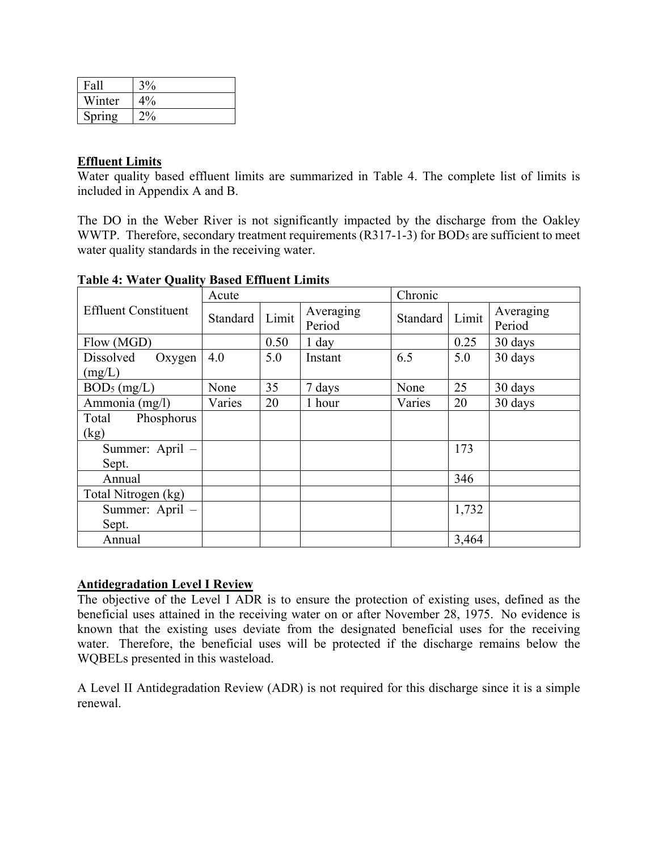| Fall   | 3%                |
|--------|-------------------|
| Winter | $4\%$             |
| Spring | $\gamma_{0}$<br>O |

## **Effluent Limits**

Water quality based effluent limits are summarized in Table 4. The complete list of limits is included in Appendix A and B.

The DO in the Weber River is not significantly impacted by the discharge from the Oakley WWTP. Therefore, secondary treatment requirements (R317-1-3) for BOD<sub>5</sub> are sufficient to meet water quality standards in the receiving water.

|                             | Acute    |       |                     | Chronic  |       |                     |
|-----------------------------|----------|-------|---------------------|----------|-------|---------------------|
| <b>Effluent Constituent</b> | Standard | Limit | Averaging<br>Period | Standard | Limit | Averaging<br>Period |
| Flow (MGD)                  |          | 0.50  | $1$ day             |          | 0.25  | 30 days             |
| Dissolved<br>Oxygen         | 4.0      | 5.0   | Instant             | 6.5      | 5.0   | 30 days             |
| (mg/L)                      |          |       |                     |          |       |                     |
| $BOD5$ (mg/L)               | None     | 35    | 7 days              | None     | 25    | 30 days             |
| Ammonia (mg/l)              | Varies   | 20    | 1 hour              | Varies   | 20    | 30 days             |
| Phosphorus<br>Total         |          |       |                     |          |       |                     |
| (kg)                        |          |       |                     |          |       |                     |
| Summer: April -             |          |       |                     |          | 173   |                     |
| Sept.                       |          |       |                     |          |       |                     |
| Annual                      |          |       |                     |          | 346   |                     |
| Total Nitrogen (kg)         |          |       |                     |          |       |                     |
| Summer: April -             |          |       |                     |          | 1,732 |                     |
| Sept.                       |          |       |                     |          |       |                     |
| Annual                      |          |       |                     |          | 3,464 |                     |

**Table 4: Water Quality Based Effluent Limits**

### **Antidegradation Level I Review**

The objective of the Level I ADR is to ensure the protection of existing uses, defined as the beneficial uses attained in the receiving water on or after November 28, 1975. No evidence is known that the existing uses deviate from the designated beneficial uses for the receiving water. Therefore, the beneficial uses will be protected if the discharge remains below the WQBELs presented in this wasteload.

A Level II Antidegradation Review (ADR) is not required for this discharge since it is a simple renewal.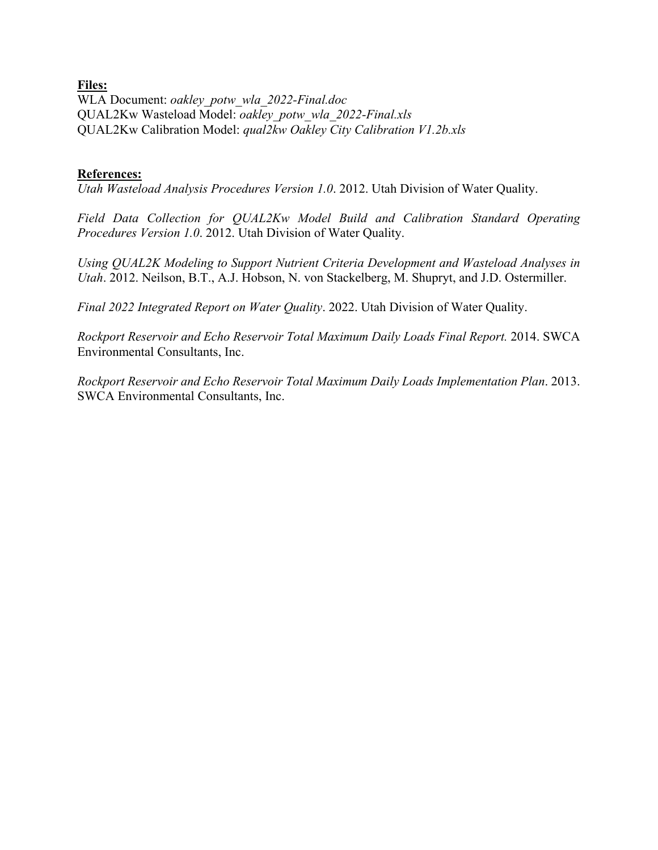## **Files:**

WLA Document: *oakley\_potw\_wla\_2022-Final.doc* QUAL2Kw Wasteload Model: *oakley\_potw\_wla\_2022-Final.xls* QUAL2Kw Calibration Model: *qual2kw Oakley City Calibration V1.2b.xls*

## **References:**

*Utah Wasteload Analysis Procedures Version 1.0*. 2012. Utah Division of Water Quality.

*Field Data Collection for QUAL2Kw Model Build and Calibration Standard Operating Procedures Version 1.0*. 2012. Utah Division of Water Quality.

*Using QUAL2K Modeling to Support Nutrient Criteria Development and Wasteload Analyses in Utah*. 2012. Neilson, B.T., A.J. Hobson, N. von Stackelberg, M. Shupryt, and J.D. Ostermiller.

*Final 2022 Integrated Report on Water Quality*. 2022. Utah Division of Water Quality.

*Rockport Reservoir and Echo Reservoir Total Maximum Daily Loads Final Report.* 2014. SWCA Environmental Consultants, Inc.

*Rockport Reservoir and Echo Reservoir Total Maximum Daily Loads Implementation Plan*. 2013. SWCA Environmental Consultants, Inc.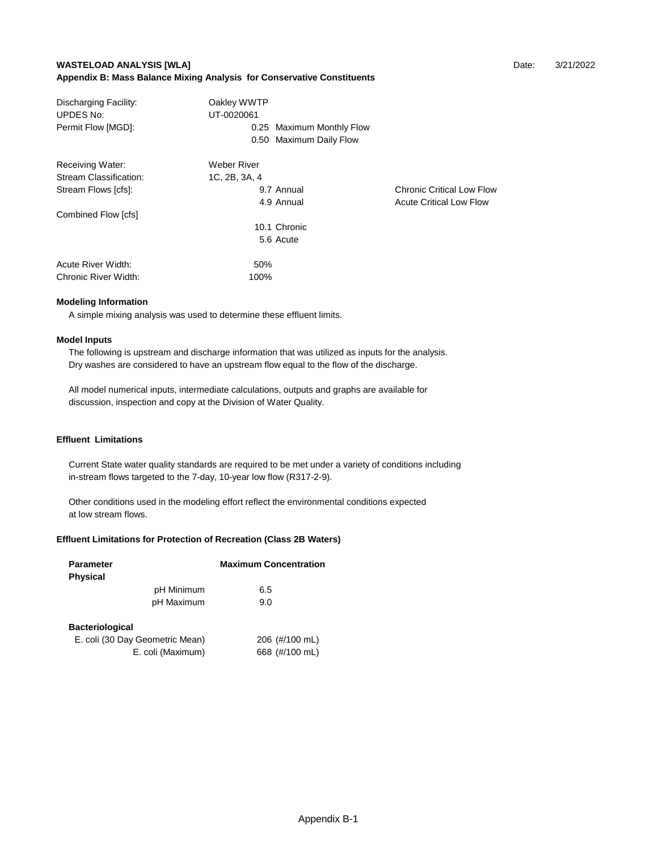#### **WASTELOAD ANALYSIS [WLA] Date:** 3/21/2022 **Appendix B: Mass Balance Mixing Analysis for Conservative Constituents**

| Discharging Facility:<br><b>UPDES No:</b> | Oakley WWTP<br>UT-0020061 |                                  |
|-------------------------------------------|---------------------------|----------------------------------|
| Permit Flow [MGD]:                        | 0.25 Maximum Monthly Flow |                                  |
|                                           | 0.50 Maximum Daily Flow   |                                  |
| Receiving Water:                          | Weber River               |                                  |
| Stream Classification:                    | 1C, 2B, 3A, 4             |                                  |
| Stream Flows [cfs]:                       | 9.7 Annual                | <b>Chronic Critical Low Flow</b> |
|                                           | 4.9 Annual                | <b>Acute Critical Low Flow</b>   |
| Combined Flow [cfs]                       |                           |                                  |
|                                           | 10.1 Chronic              |                                  |
|                                           | 5.6 Acute                 |                                  |
| Acute River Width:                        | 50%                       |                                  |
| Chronic River Width:                      | 100%                      |                                  |

#### **Modeling Information**

A simple mixing analysis was used to determine these effluent limits.

#### **Model Inputs**

 The following is upstream and discharge information that was utilized as inputs for the analysis. Dry washes are considered to have an upstream flow equal to the flow of the discharge.

 All model numerical inputs, intermediate calculations, outputs and graphs are available for discussion, inspection and copy at the Division of Water Quality.

#### **Effluent Limitations**

 Current State water quality standards are required to be met under a variety of conditions including in-stream flows targeted to the 7-day, 10-year low flow (R317-2-9).

 Other conditions used in the modeling effort reflect the environmental conditions expected at low stream flows.

#### **Effluent Limitations for Protection of Recreation (Class 2B Waters)**

| <b>Parameter</b><br><b>Physical</b>                       |                   | <b>Maximum Concentration</b>     |
|-----------------------------------------------------------|-------------------|----------------------------------|
|                                                           | pH Minimum        | 6.5                              |
|                                                           | pH Maximum        | 9.0                              |
| <b>Bacteriological</b><br>E. coli (30 Day Geometric Mean) | E. coli (Maximum) | 206 (#/100 mL)<br>668 (#/100 mL) |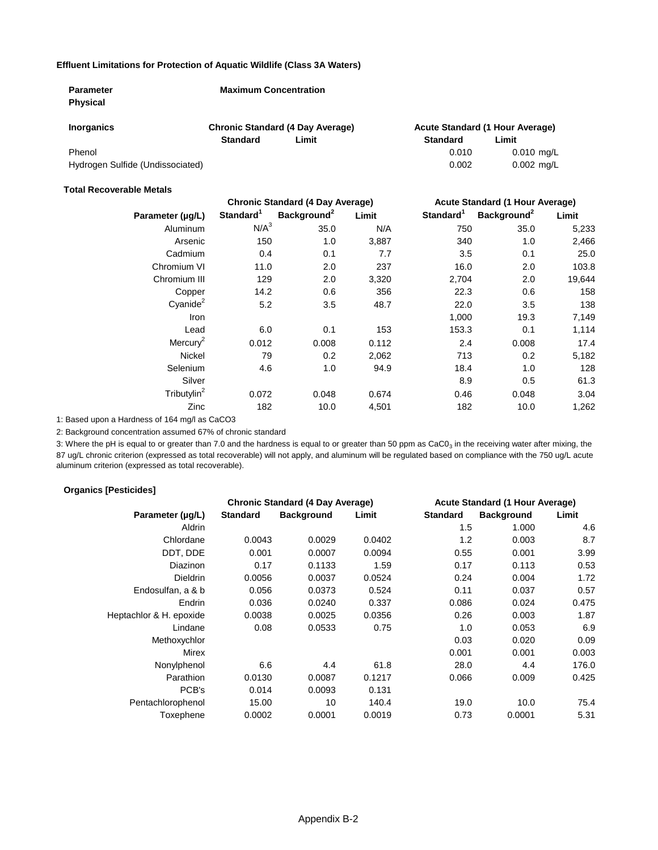#### **Effluent Limitations for Protection of Aquatic Wildlife (Class 3A Waters)**

| <b>Parameter</b>                 | <b>Maximum Concentration</b> |                                         |                 |                                 |
|----------------------------------|------------------------------|-----------------------------------------|-----------------|---------------------------------|
| <b>Physical</b>                  |                              |                                         |                 |                                 |
| <b>Inorganics</b>                |                              | <b>Chronic Standard (4 Day Average)</b> |                 | Acute Standard (1 Hour Average) |
|                                  | <b>Standard</b>              | Limit                                   | <b>Standard</b> | Limit                           |
| Phenol                           |                              |                                         | 0.010           | $0.010$ mg/L                    |
| Hydrogen Sulfide (Undissociated) |                              |                                         | 0.002           | $0.002$ mg/L                    |

#### **Total Recoverable Metals**

|                         |                       | <b>Chronic Standard (4 Day Average)</b> |       | <b>Acute Standard (1 Hour Average)</b> |                         |        |
|-------------------------|-----------------------|-----------------------------------------|-------|----------------------------------------|-------------------------|--------|
| Parameter (µg/L)        | Standard <sup>1</sup> | Background <sup>2</sup>                 | Limit | Standard <sup>1</sup>                  | Background <sup>2</sup> | Limit  |
| Aluminum                | N/A <sup>3</sup>      | 35.0                                    | N/A   | 750                                    | 35.0                    | 5,233  |
| Arsenic                 | 150                   | 1.0                                     | 3,887 | 340                                    | 1.0                     | 2,466  |
| Cadmium                 | 0.4                   | 0.1                                     | 7.7   | 3.5                                    | 0.1                     | 25.0   |
| Chromium VI             | 11.0                  | 2.0                                     | 237   | 16.0                                   | 2.0                     | 103.8  |
| Chromium III            | 129                   | 2.0                                     | 3,320 | 2,704                                  | 2.0                     | 19,644 |
| Copper                  | 14.2                  | 0.6                                     | 356   | 22.3                                   | 0.6                     | 158    |
| $C$ yanide $^2$         | 5.2                   | 3.5                                     | 48.7  | 22.0                                   | 3.5                     | 138    |
| Iron                    |                       |                                         |       | 1,000                                  | 19.3                    | 7,149  |
| Lead                    | 6.0                   | 0.1                                     | 153   | 153.3                                  | 0.1                     | 1,114  |
| Mercury <sup>2</sup>    | 0.012                 | 0.008                                   | 0.112 | 2.4                                    | 0.008                   | 17.4   |
| <b>Nickel</b>           | 79                    | 0.2                                     | 2,062 | 713                                    | 0.2                     | 5,182  |
| Selenium                | 4.6                   | 1.0                                     | 94.9  | 18.4                                   | 1.0                     | 128    |
| Silver                  |                       |                                         |       | 8.9                                    | 0.5                     | 61.3   |
| Tributylin <sup>2</sup> | 0.072                 | 0.048                                   | 0.674 | 0.46                                   | 0.048                   | 3.04   |
| Zinc                    | 182                   | 10.0                                    | 4,501 | 182                                    | 10.0                    | 1,262  |

1: Based upon a Hardness of 164 mg/l as CaCO3

2: Background concentration assumed 67% of chronic standard

3: Where the pH is equal to or greater than 7.0 and the hardness is equal to or greater than 50 ppm as CaC0<sub>3</sub> in the receiving water after mixing, the 87 ug/L chronic criterion (expressed as total recoverable) will not apply, and aluminum will be regulated based on compliance with the 750 ug/L acute aluminum criterion (expressed as total recoverable).

#### **Organics [Pesticides]**

|                         | <b>Chronic Standard (4 Day Average)</b> |                   |        |                 |                   | Acute Standard (1 Hour Average) |
|-------------------------|-----------------------------------------|-------------------|--------|-----------------|-------------------|---------------------------------|
| Parameter (µg/L)        | <b>Standard</b>                         | <b>Background</b> | Limit  | <b>Standard</b> | <b>Background</b> | Limit                           |
| Aldrin                  |                                         |                   |        | 1.5             | 1.000             | 4.6                             |
| Chlordane               | 0.0043                                  | 0.0029            | 0.0402 | 1.2             | 0.003             | 8.7                             |
| DDT, DDE                | 0.001                                   | 0.0007            | 0.0094 | 0.55            | 0.001             | 3.99                            |
| Diazinon                | 0.17                                    | 0.1133            | 1.59   | 0.17            | 0.113             | 0.53                            |
| <b>Dieldrin</b>         | 0.0056                                  | 0.0037            | 0.0524 | 0.24            | 0.004             | 1.72                            |
| Endosulfan, a & b       | 0.056                                   | 0.0373            | 0.524  | 0.11            | 0.037             | 0.57                            |
| Endrin                  | 0.036                                   | 0.0240            | 0.337  | 0.086           | 0.024             | 0.475                           |
| Heptachlor & H. epoxide | 0.0038                                  | 0.0025            | 0.0356 | 0.26            | 0.003             | 1.87                            |
| Lindane                 | 0.08                                    | 0.0533            | 0.75   | 1.0             | 0.053             | 6.9                             |
| Methoxychlor            |                                         |                   |        | 0.03            | 0.020             | 0.09                            |
| <b>Mirex</b>            |                                         |                   |        | 0.001           | 0.001             | 0.003                           |
| Nonylphenol             | 6.6                                     | 4.4               | 61.8   | 28.0            | 4.4               | 176.0                           |
| Parathion               | 0.0130                                  | 0.0087            | 0.1217 | 0.066           | 0.009             | 0.425                           |
| PCB's                   | 0.014                                   | 0.0093            | 0.131  |                 |                   |                                 |
| Pentachlorophenol       | 15.00                                   | 10                | 140.4  | 19.0            | 10.0              | 75.4                            |
| Toxephene               | 0.0002                                  | 0.0001            | 0.0019 | 0.73            | 0.0001            | 5.31                            |